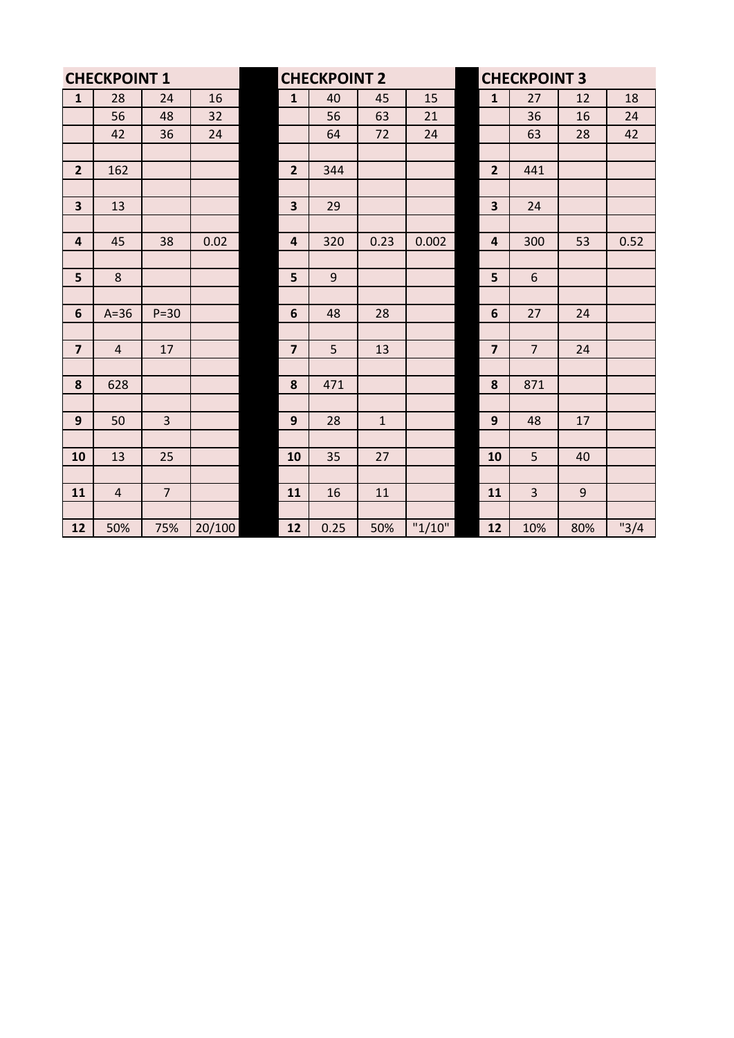| <b>CHECKPOINT 1</b>     |                |                |        | <b>CHECKPOINT 2</b>     |       |              |        | <b>CHECKPOINT 3</b>     |                |                  |       |
|-------------------------|----------------|----------------|--------|-------------------------|-------|--------------|--------|-------------------------|----------------|------------------|-------|
| $\mathbf 1$             | 28             | 24             | 16     | $\mathbf{1}$            | 40    | 45           | 15     | $\mathbf{1}$            | 27             | 12               | 18    |
|                         | 56             | 48             | 32     |                         | 56    | 63           | 21     |                         | 36             | 16               | 24    |
|                         | 42             | 36             | 24     |                         | 64    | 72           | 24     |                         | 63             | 28               | 42    |
|                         |                |                |        |                         |       |              |        |                         |                |                  |       |
| $\overline{2}$          | 162            |                |        | $\overline{2}$          | 344   |              |        | $\overline{2}$          | 441            |                  |       |
|                         |                |                |        |                         |       |              |        |                         |                |                  |       |
| $\overline{\mathbf{3}}$ | 13             |                |        | $\overline{\mathbf{3}}$ | 29    |              |        | 3                       | 24             |                  |       |
|                         |                |                |        |                         |       |              |        |                         |                |                  |       |
| $\overline{\mathbf{4}}$ | 45             | 38             | 0.02   | $\overline{4}$          | 320   | 0.23         | 0.002  | $\overline{\mathbf{4}}$ | 300            | 53               | 0.52  |
|                         |                |                |        |                         |       |              |        |                         |                |                  |       |
| 5                       | 8              |                |        | 5                       | $9\,$ |              |        | 5                       | $\sqrt{6}$     |                  |       |
|                         |                |                |        |                         |       |              |        |                         |                |                  |       |
| 6                       | $A=36$         | $P=30$         |        | $6\phantom{1}6$         | 48    | 28           |        | $6\phantom{1}6$         | 27             | 24               |       |
|                         |                |                |        |                         |       |              |        |                         |                |                  |       |
| $\overline{\mathbf{z}}$ | $\overline{4}$ | 17             |        | $\overline{7}$          | 5     | 13           |        | $\overline{\mathbf{z}}$ | $\overline{7}$ | 24               |       |
|                         |                |                |        |                         |       |              |        |                         |                |                  |       |
| 8                       | 628            |                |        | 8                       | 471   |              |        | 8                       | 871            |                  |       |
|                         |                |                |        |                         |       |              |        |                         |                |                  |       |
| 9                       | 50             | 3              |        | $\mathbf{9}$            | 28    | $\mathbf{1}$ |        | 9                       | 48             | 17               |       |
|                         |                |                |        |                         |       |              |        |                         |                |                  |       |
| 10                      | 13             | 25             |        | 10                      | 35    | 27           |        | 10                      | 5              | 40               |       |
|                         |                |                |        |                         |       |              |        |                         |                |                  |       |
| 11                      | $\overline{4}$ | $\overline{7}$ |        | 11                      | 16    | $11\,$       |        | 11                      | 3              | $\boldsymbol{9}$ |       |
|                         |                |                |        |                         |       |              |        |                         |                |                  |       |
| 12                      | 50%            | 75%            | 20/100 | 12                      | 0.25  | 50%          | "1/10" | 12                      | 10%            | 80%              | "3/4" |